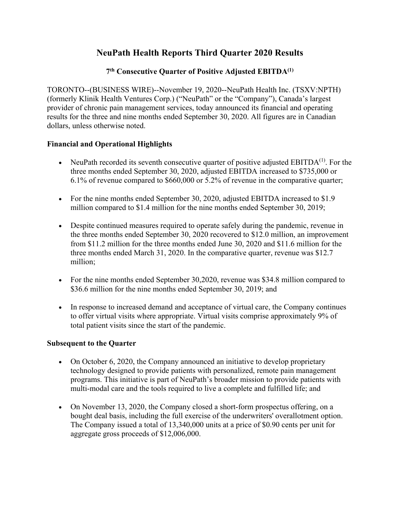## **NeuPath Health Reports Third Quarter 2020 Results**

## **7th Consecutive Quarter of Positive Adjusted EBITDA(1)**

TORONTO--(BUSINESS WIRE)--November 19, 2020--NeuPath Health Inc. (TSXV:NPTH) (formerly Klinik Health Ventures Corp.) ("NeuPath" or the "Company"), Canada's largest provider of chronic pain management services, today announced its financial and operating results for the three and nine months ended September 30, 2020. All figures are in Canadian dollars, unless otherwise noted.

## **Financial and Operational Highlights**

- NeuPath recorded its seventh consecutive quarter of positive adjusted  $EBITDA<sup>(1)</sup>$ . For the three months ended September 30, 2020, adjusted EBITDA increased to \$735,000 or 6.1% of revenue compared to \$660,000 or 5.2% of revenue in the comparative quarter;
- For the nine months ended September 30, 2020, adjusted EBITDA increased to \$1.9 million compared to \$1.4 million for the nine months ended September 30, 2019;
- Despite continued measures required to operate safely during the pandemic, revenue in the three months ended September 30, 2020 recovered to \$12.0 million, an improvement from \$11.2 million for the three months ended June 30, 2020 and \$11.6 million for the three months ended March 31, 2020. In the comparative quarter, revenue was \$12.7 million;
- For the nine months ended September 30,2020, revenue was \$34.8 million compared to \$36.6 million for the nine months ended September 30, 2019; and
- In response to increased demand and acceptance of virtual care, the Company continues to offer virtual visits where appropriate. Virtual visits comprise approximately 9% of total patient visits since the start of the pandemic.

## **Subsequent to the Quarter**

- On October 6, 2020, the Company announced an initiative to develop proprietary technology designed to provide patients with personalized, remote pain management programs. This initiative is part of NeuPath's broader mission to provide patients with multi-modal care and the tools required to live a complete and fulfilled life; and
- On November 13, 2020, the Company closed a short-form prospectus offering, on a bought deal basis, including the full exercise of the underwriters' overallotment option. The Company issued a total of 13,340,000 units at a price of \$0.90 cents per unit for aggregate gross proceeds of \$12,006,000.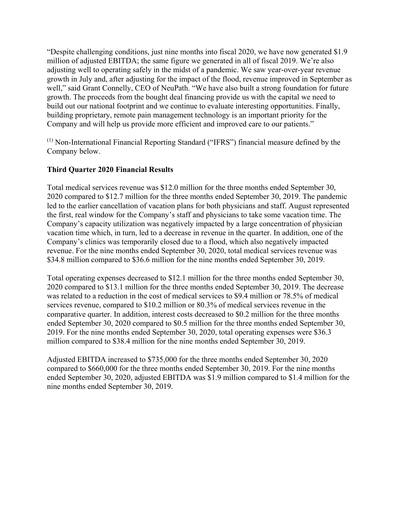"Despite challenging conditions, just nine months into fiscal 2020, we have now generated \$1.9 million of adjusted EBITDA; the same figure we generated in all of fiscal 2019. We're also adjusting well to operating safely in the midst of a pandemic. We saw year-over-year revenue growth in July and, after adjusting for the impact of the flood, revenue improved in September as well," said Grant Connelly, CEO of NeuPath. "We have also built a strong foundation for future growth. The proceeds from the bought deal financing provide us with the capital we need to build out our national footprint and we continue to evaluate interesting opportunities. Finally, building proprietary, remote pain management technology is an important priority for the Company and will help us provide more efficient and improved care to our patients."

(1) Non-International Financial Reporting Standard ("IFRS") financial measure defined by the Company below.

## **Third Quarter 2020 Financial Results**

Total medical services revenue was \$12.0 million for the three months ended September 30, 2020 compared to \$12.7 million for the three months ended September 30, 2019. The pandemic led to the earlier cancellation of vacation plans for both physicians and staff. August represented the first, real window for the Company's staff and physicians to take some vacation time. The Company's capacity utilization was negatively impacted by a large concentration of physician vacation time which, in turn, led to a decrease in revenue in the quarter. In addition, one of the Company's clinics was temporarily closed due to a flood, which also negatively impacted revenue. For the nine months ended September 30, 2020, total medical services revenue was \$34.8 million compared to \$36.6 million for the nine months ended September 30, 2019.

Total operating expenses decreased to \$12.1 million for the three months ended September 30, 2020 compared to \$13.1 million for the three months ended September 30, 2019. The decrease was related to a reduction in the cost of medical services to \$9.4 million or 78.5% of medical services revenue, compared to \$10.2 million or 80.3% of medical services revenue in the comparative quarter. In addition, interest costs decreased to \$0.2 million for the three months ended September 30, 2020 compared to \$0.5 million for the three months ended September 30, 2019. For the nine months ended September 30, 2020, total operating expenses were \$36.3 million compared to \$38.4 million for the nine months ended September 30, 2019.

Adjusted EBITDA increased to \$735,000 for the three months ended September 30, 2020 compared to \$660,000 for the three months ended September 30, 2019. For the nine months ended September 30, 2020, adjusted EBITDA was \$1.9 million compared to \$1.4 million for the nine months ended September 30, 2019.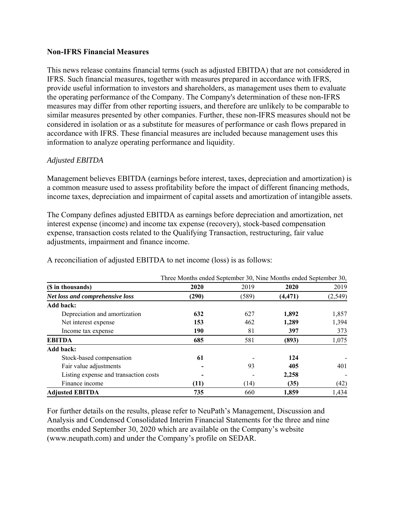#### **Non-IFRS Financial Measures**

This news release contains financial terms (such as adjusted EBITDA) that are not considered in IFRS. Such financial measures, together with measures prepared in accordance with IFRS, provide useful information to investors and shareholders, as management uses them to evaluate the operating performance of the Company. The Company's determination of these non-IFRS measures may differ from other reporting issuers, and therefore are unlikely to be comparable to similar measures presented by other companies. Further, these non-IFRS measures should not be considered in isolation or as a substitute for measures of performance or cash flows prepared in accordance with IFRS. These financial measures are included because management uses this information to analyze operating performance and liquidity.

#### *Adjusted EBITDA*

Management believes EBITDA (earnings before interest, taxes, depreciation and amortization) is a common measure used to assess profitability before the impact of different financing methods, income taxes, depreciation and impairment of capital assets and amortization of intangible assets.

The Company defines adjusted EBITDA as earnings before depreciation and amortization, net interest expense (income) and income tax expense (recovery), stock-based compensation expense, transaction costs related to the Qualifying Transaction, restructuring, fair value adjustments, impairment and finance income.

|                                       | Three Months ended September 30, Nine Months ended September 30, |       |          |          |
|---------------------------------------|------------------------------------------------------------------|-------|----------|----------|
| (\$ in thousands)                     | 2020                                                             | 2019  | 2020     | 2019     |
| Net loss and comprehensive loss       | (290)                                                            | (589) | (4, 471) | (2, 549) |
| Add back:                             |                                                                  |       |          |          |
| Depreciation and amortization         | 632                                                              | 627   | 1,892    | 1,857    |
| Net interest expense                  | 153                                                              | 462   | 1,289    | 1,394    |
| Income tax expense                    | 190                                                              | 81    | 397      | 373      |
| <b>EBITDA</b>                         | 685                                                              | 581   | (893)    | 1,075    |
| Add back:                             |                                                                  |       |          |          |
| Stock-based compensation              | 61                                                               |       | 124      |          |
| Fair value adjustments                |                                                                  | 93    | 405      | 401      |
| Listing expense and transaction costs |                                                                  |       | 2,258    |          |
| Finance income                        | (11)                                                             | (14)  | (35)     | (42)     |
| <b>Adjusted EBITDA</b>                | 735                                                              | 660   | 1.859    | 1,434    |

A reconciliation of adjusted EBITDA to net income (loss) is as follows:

For further details on the results, please refer to NeuPath's Management, Discussion and Analysis and Condensed Consolidated Interim Financial Statements for the three and nine months ended September 30, 2020 which are available on the Company's website (www.neupath.com) and under the Company's profile on SEDAR.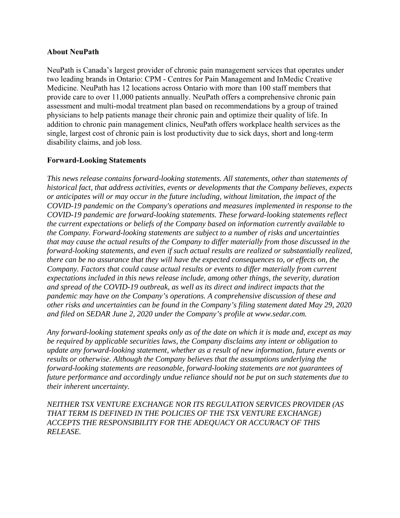#### **About NeuPath**

NeuPath is Canada's largest provider of chronic pain management services that operates under two leading brands in Ontario: CPM - Centres for Pain Management and InMedic Creative Medicine. NeuPath has 12 locations across Ontario with more than 100 staff members that provide care to over 11,000 patients annually. NeuPath offers a comprehensive chronic pain assessment and multi-modal treatment plan based on recommendations by a group of trained physicians to help patients manage their chronic pain and optimize their quality of life. In addition to chronic pain management clinics, NeuPath offers workplace health services as the single, largest cost of chronic pain is lost productivity due to sick days, short and long-term disability claims, and job loss.

#### **Forward-Looking Statements**

*This news release contains forward-looking statements. All statements, other than statements of historical fact, that address activities, events or developments that the Company believes, expects or anticipates will or may occur in the future including, without limitation, the impact of the COVID-19 pandemic on the Company's operations and measures implemented in response to the COVID-19 pandemic are forward-looking statements. These forward-looking statements reflect the current expectations or beliefs of the Company based on information currently available to the Company. Forward-looking statements are subject to a number of risks and uncertainties that may cause the actual results of the Company to differ materially from those discussed in the forward-looking statements, and even if such actual results are realized or substantially realized, there can be no assurance that they will have the expected consequences to, or effects on, the Company. Factors that could cause actual results or events to differ materially from current expectations included in this news release include, among other things, the severity, duration and spread of the COVID-19 outbreak, as well as its direct and indirect impacts that the pandemic may have on the Company's operations. A comprehensive discussion of these and other risks and uncertainties can be found in the Company's filing statement dated May 29, 2020 and filed on SEDAR June 2, 2020 under the Company's profile at www.sedar.com.*

*Any forward-looking statement speaks only as of the date on which it is made and, except as may be required by applicable securities laws, the Company disclaims any intent or obligation to update any forward-looking statement, whether as a result of new information, future events or results or otherwise. Although the Company believes that the assumptions underlying the forward-looking statements are reasonable, forward-looking statements are not guarantees of future performance and accordingly undue reliance should not be put on such statements due to their inherent uncertainty.*

*NEITHER TSX VENTURE EXCHANGE NOR ITS REGULATION SERVICES PROVIDER (AS THAT TERM IS DEFINED IN THE POLICIES OF THE TSX VENTURE EXCHANGE) ACCEPTS THE RESPONSIBILITY FOR THE ADEQUACY OR ACCURACY OF THIS RELEASE.*